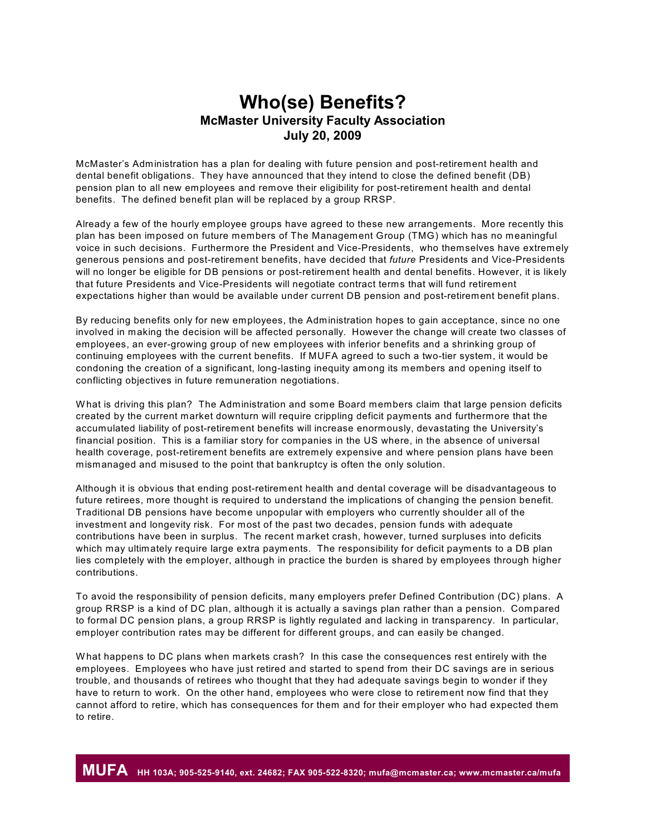## **Who(se) Benefits? McMaster University Faculty Association July 20, 2009**

McMaster's Administration has a plan for dealing with future pension and post-retirement health and dental benefit obligations. They have announced that they intend to close the defined benefit (DB) pension plan to all new employees and remove their eligibility for post-retirement health and dental benefits. The defined benefit plan will be replaced by a group RRSP.

Already a few of the hourly employee groups have agreed to these new arrangements. More recently this plan has been imposed on future members of The Management Group (TMG) which has no meaningful voice in such decisions. Furthermore the President and Vice-Presidents, who themselves have extremely generous pensions and post-retirement benefits, have decided that *future* Presidents and Vice-Presidents will no longer be eligible for DB pensions or post-retirement health and dental benefits. However, it is likely that future Presidents and Vice-Presidents will negotiate contract terms that will fund retirement expectations higher than would be available under current DB pension and post-retirement benefit plans.

By reducing benefits only for new employees, the Administration hopes to gain acceptance, since no one involved in making the decision will be affected personally. However the change will create two classes of employees, an ever-growing group of new employees with inferior benefits and a shrinking group of continuing employees with the current benefits. If MUFA agreed to such a two-tier system, it would be condoning the creation of a significant, long-lasting inequity among its members and opening itself to conflicting objectives in future remuneration negotiations.

W hat is driving this plan? The Administration and some Board members claim that large pension deficits created by the current market downturn will require crippling deficit payments and furthermore that the accumulated liability of post-retirement benefits will increase enormously, devastating the University's financial position. This is a familiar story for companies in the US where, in the absence of universal health coverage, post-retirement benefits are extremely expensive and where pension plans have been mismanaged and misused to the point that bankruptcy is often the only solution.

Although it is obvious that ending post-retirement health and dental coverage will be disadvantageous to future retirees, more thought is required to understand the implications of changing the pension benefit. Traditional DB pensions have become unpopular with employers who currently shoulder all of the investment and longevity risk. For most of the past two decades, pension funds with adequate contributions have been in surplus. The recent market crash, however, turned surpluses into deficits which may ultimately require large extra payments. The responsibility for deficit payments to a DB plan lies completely with the employer, although in practice the burden is shared by employees through higher contributions.

To avoid the responsibility of pension deficits, many employers prefer Defined Contribution (DC) plans. A group RRSP is a kind of DC plan, although it is actually a savings plan rather than a pension. Compared to formal DC pension plans, a group RRSP is lightly regulated and lacking in transparency. In particular, employer contribution rates may be different for different groups, and can easily be changed.

W hat happens to DC plans when markets crash? In this case the consequences rest entirely with the employees. Employees who have just retired and started to spend from their DC savings are in serious trouble, and thousands of retirees who thought that they had adequate savings begin to wonder if they have to return to work. On the other hand, employees who were close to retirement now find that they cannot afford to retire, which has consequences for them and for their employer who had expected them to retire.